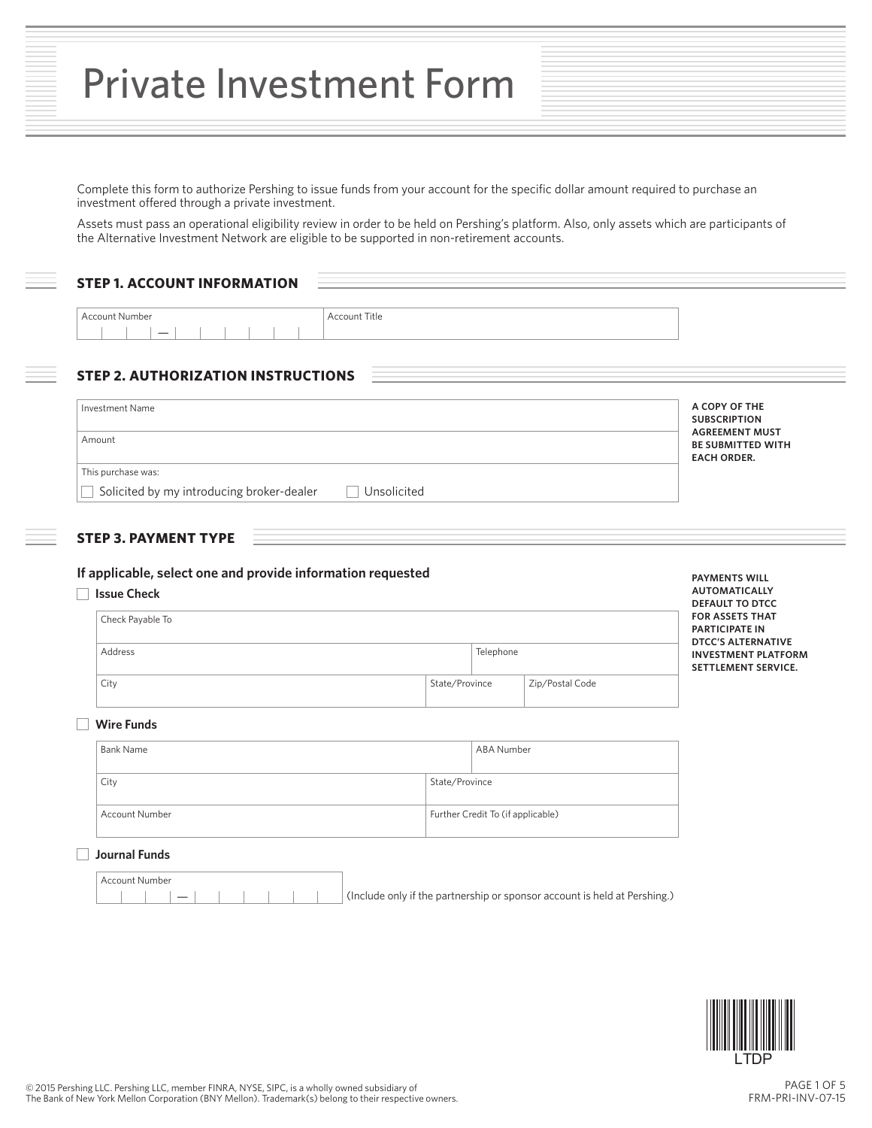Complete this form to authorize Pershing to issue funds from your account for the specific dollar amount required to purchase an investment offered through a private investment.

Assets must pass an operational eligibility review in order to be held on Pershing's platform. Also, only assets which are participants of the Alternative Investment Network are eligible to be supported in non-retirement accounts.

#### **STEP 1. ACCOUNT INFORMATION**

| . |
|---|
|   |

## **STEP 2. AUTHORIZATION INSTRUCTIONS**

| Investment Name                                          | A COPY OF THE<br><b>SUBSCRIPTION</b><br><b>AGREEMENT MUST</b> |
|----------------------------------------------------------|---------------------------------------------------------------|
| Amount                                                   | <b>BE SUBMITTED WITH</b><br><b>EACH ORDER.</b>                |
| This purchase was:                                       |                                                               |
| Solicited by my introducing broker-dealer<br>Unsolicited |                                                               |

#### **STEP 3. PAYMENT TYPE**

#### **If applicable, select one and provide information requested**

| <b>Issue Check</b> |  |                |                 | <b>AUTOMATICALLY</b><br>DEFAULT TO DTCC                                        |
|--------------------|--|----------------|-----------------|--------------------------------------------------------------------------------|
| Check Payable To   |  |                |                 | <b>FOR ASSETS THAT</b><br><b>PARTICIPATE IN</b>                                |
| Address            |  | Telephone      |                 | DTCC'S ALTERNATIVE<br><b>INVESTMENT PLATFORM</b><br><b>SETTLEMENT SERVICE.</b> |
| City               |  | State/Province | Zip/Postal Code |                                                                                |

#### **Wire Funds**

| <b>Bank Name</b>      |                                   | ABA Number |  |
|-----------------------|-----------------------------------|------------|--|
| City                  | State/Province                    |            |  |
| <b>Account Number</b> | Further Credit To (if applicable) |            |  |

#### **Journal Funds**

Account Number

(Include only if the partnership or sponsor account is held at Pershing.)



**PAYMENTS WILL**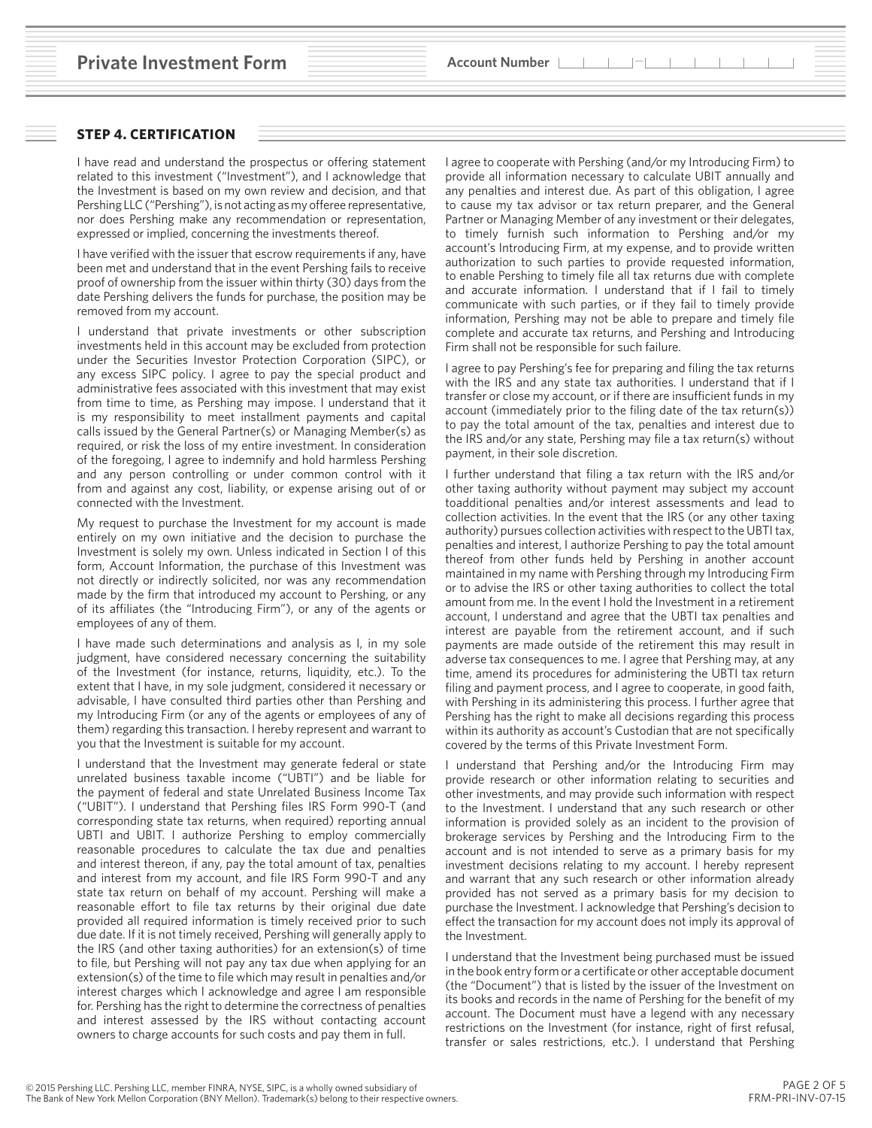#### **STEP 4. CERTIFICATION**

I have read and understand the prospectus or offering statement related to this investment ("Investment"), and I acknowledge that the Investment is based on my own review and decision, and that Pershing LLC ("Pershing"), is not acting as my offeree representative, nor does Pershing make any recommendation or representation, expressed or implied, concerning the investments thereof.

I have verified with the issuer that escrow requirements if any, have been met and understand that in the event Pershing fails to receive proof of ownership from the issuer within thirty (30) days from the date Pershing delivers the funds for purchase, the position may be removed from my account.

I understand that private investments or other subscription investments held in this account may be excluded from protection under the Securities Investor Protection Corporation (SIPC), or any excess SIPC policy. I agree to pay the special product and administrative fees associated with this investment that may exist from time to time, as Pershing may impose. I understand that it is my responsibility to meet installment payments and capital calls issued by the General Partner(s) or Managing Member(s) as required, or risk the loss of my entire investment. In consideration of the foregoing, I agree to indemnify and hold harmless Pershing and any person controlling or under common control with it from and against any cost, liability, or expense arising out of or connected with the Investment.

My request to purchase the Investment for my account is made entirely on my own initiative and the decision to purchase the Investment is solely my own. Unless indicated in Section I of this form, Account Information, the purchase of this Investment was not directly or indirectly solicited, nor was any recommendation made by the firm that introduced my account to Pershing, or any of its affiliates (the "Introducing Firm"), or any of the agents or employees of any of them.

I have made such determinations and analysis as I, in my sole judgment, have considered necessary concerning the suitability of the Investment (for instance, returns, liquidity, etc.). To the extent that I have, in my sole judgment, considered it necessary or advisable, I have consulted third parties other than Pershing and my Introducing Firm (or any of the agents or employees of any of them) regarding this transaction. I hereby represent and warrant to you that the Investment is suitable for my account.

I understand that the Investment may generate federal or state unrelated business taxable income ("UBTI") and be liable for the payment of federal and state Unrelated Business Income Tax ("UBIT"). I understand that Pershing files IRS Form 990-T (and corresponding state tax returns, when required) reporting annual UBTI and UBIT. I authorize Pershing to employ commercially reasonable procedures to calculate the tax due and penalties and interest thereon, if any, pay the total amount of tax, penalties and interest from my account, and file IRS Form 990-T and any state tax return on behalf of my account. Pershing will make a reasonable effort to file tax returns by their original due date provided all required information is timely received prior to such due date. If it is not timely received, Pershing will generally apply to the IRS (and other taxing authorities) for an extension(s) of time to file, but Pershing will not pay any tax due when applying for an extension(s) of the time to file which may result in penalties and/or interest charges which I acknowledge and agree I am responsible for. Pershing has the right to determine the correctness of penalties and interest assessed by the IRS without contacting account owners to charge accounts for such costs and pay them in full.

I agree to cooperate with Pershing (and/or my Introducing Firm) to provide all information necessary to calculate UBIT annually and any penalties and interest due. As part of this obligation, I agree to cause my tax advisor or tax return preparer, and the General Partner or Managing Member of any investment or their delegates, to timely furnish such information to Pershing and/or my account's Introducing Firm, at my expense, and to provide written authorization to such parties to provide requested information, to enable Pershing to timely file all tax returns due with complete and accurate information. I understand that if I fail to timely communicate with such parties, or if they fail to timely provide information, Pershing may not be able to prepare and timely file complete and accurate tax returns, and Pershing and Introducing Firm shall not be responsible for such failure.

I agree to pay Pershing's fee for preparing and filing the tax returns with the IRS and any state tax authorities. I understand that if I transfer or close my account, or if there are insufficient funds in my account (immediately prior to the filing date of the tax return(s)) to pay the total amount of the tax, penalties and interest due to the IRS and/or any state, Pershing may file a tax return(s) without payment, in their sole discretion.

I further understand that filing a tax return with the IRS and/or other taxing authority without payment may subject my account toadditional penalties and/or interest assessments and lead to collection activities. In the event that the IRS (or any other taxing authority) pursues collection activities with respect to the UBTI tax, penalties and interest, I authorize Pershing to pay the total amount thereof from other funds held by Pershing in another account maintained in my name with Pershing through my Introducing Firm or to advise the IRS or other taxing authorities to collect the total amount from me. In the event I hold the Investment in a retirement account, I understand and agree that the UBTI tax penalties and interest are payable from the retirement account, and if such payments are made outside of the retirement this may result in adverse tax consequences to me. I agree that Pershing may, at any time, amend its procedures for administering the UBTI tax return filing and payment process, and I agree to cooperate, in good faith, with Pershing in its administering this process. I further agree that Pershing has the right to make all decisions regarding this process within its authority as account's Custodian that are not specifically covered by the terms of this Private Investment Form.

I understand that Pershing and/or the Introducing Firm may provide research or other information relating to securities and other investments, and may provide such information with respect to the Investment. I understand that any such research or other information is provided solely as an incident to the provision of brokerage services by Pershing and the Introducing Firm to the account and is not intended to serve as a primary basis for my investment decisions relating to my account. I hereby represent and warrant that any such research or other information already provided has not served as a primary basis for my decision to purchase the Investment. I acknowledge that Pershing's decision to effect the transaction for my account does not imply its approval of the Investment.

I understand that the Investment being purchased must be issued in the book entry form or a certificate or other acceptable document (the "Document") that is listed by the issuer of the Investment on its books and records in the name of Pershing for the benefit of my account. The Document must have a legend with any necessary restrictions on the Investment (for instance, right of first refusal, transfer or sales restrictions, etc.). I understand that Pershing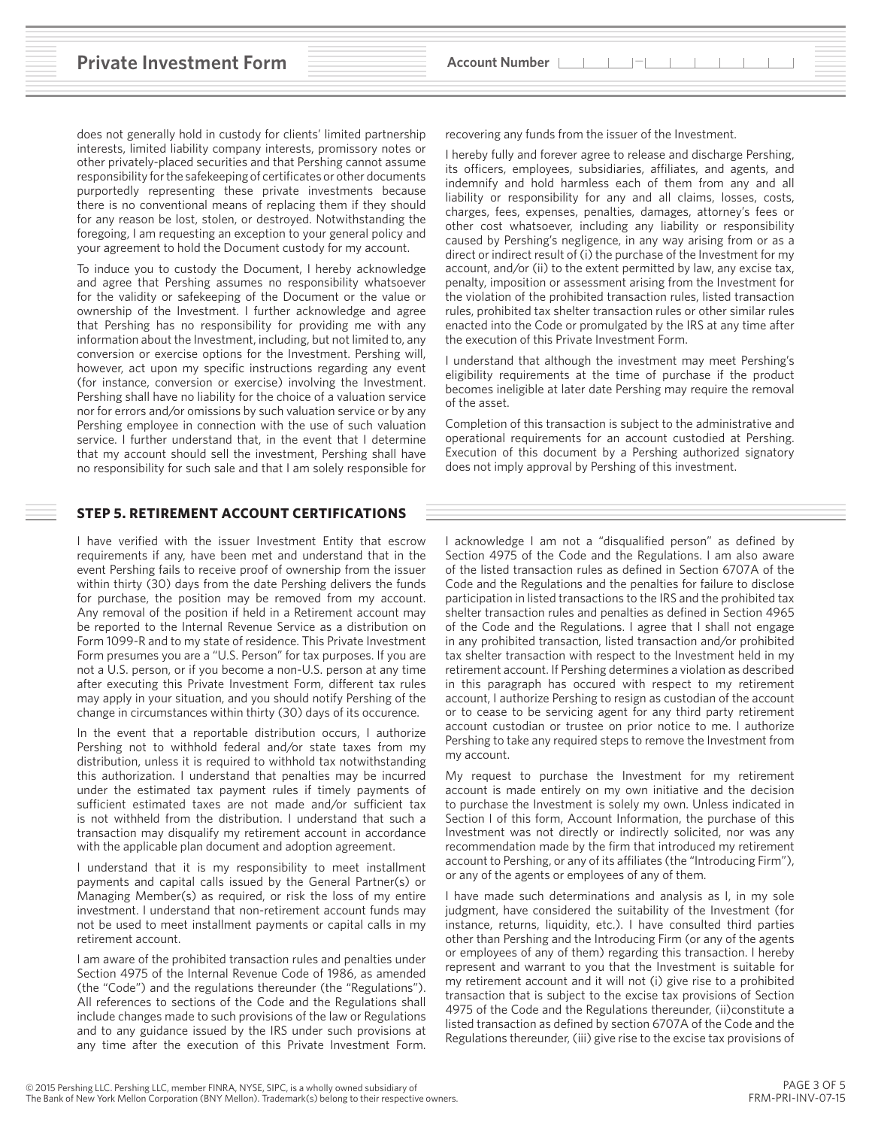does not generally hold in custody for clients' limited partnership interests, limited liability company interests, promissory notes or other privately-placed securities and that Pershing cannot assume responsibility for the safekeeping of certificates or other documents purportedly representing these private investments because there is no conventional means of replacing them if they should for any reason be lost, stolen, or destroyed. Notwithstanding the foregoing, I am requesting an exception to your general policy and your agreement to hold the Document custody for my account.

To induce you to custody the Document, I hereby acknowledge and agree that Pershing assumes no responsibility whatsoever for the validity or safekeeping of the Document or the value or ownership of the Investment. I further acknowledge and agree that Pershing has no responsibility for providing me with any information about the Investment, including, but not limited to, any conversion or exercise options for the Investment. Pershing will, however, act upon my specific instructions regarding any event (for instance, conversion or exercise) involving the Investment. Pershing shall have no liability for the choice of a valuation service nor for errors and/or omissions by such valuation service or by any Pershing employee in connection with the use of such valuation service. I further understand that, in the event that I determine that my account should sell the investment, Pershing shall have no responsibility for such sale and that I am solely responsible for

recovering any funds from the issuer of the Investment.

I hereby fully and forever agree to release and discharge Pershing, its officers, employees, subsidiaries, affiliates, and agents, and indemnify and hold harmless each of them from any and all liability or responsibility for any and all claims, losses, costs, charges, fees, expenses, penalties, damages, attorney's fees or other cost whatsoever, including any liability or responsibility caused by Pershing's negligence, in any way arising from or as a direct or indirect result of (i) the purchase of the Investment for my account, and/or (ii) to the extent permitted by law, any excise tax, penalty, imposition or assessment arising from the Investment for the violation of the prohibited transaction rules, listed transaction rules, prohibited tax shelter transaction rules or other similar rules enacted into the Code or promulgated by the IRS at any time after the execution of this Private Investment Form.

I understand that although the investment may meet Pershing's eligibility requirements at the time of purchase if the product becomes ineligible at later date Pershing may require the removal of the asset.

Completion of this transaction is subject to the administrative and operational requirements for an account custodied at Pershing. Execution of this document by a Pershing authorized signatory does not imply approval by Pershing of this investment.

## **STEP 5. RETIREMENT ACCOUNT CERTIFICATIONS**

I have verified with the issuer Investment Entity that escrow requirements if any, have been met and understand that in the event Pershing fails to receive proof of ownership from the issuer within thirty (30) days from the date Pershing delivers the funds for purchase, the position may be removed from my account. Any removal of the position if held in a Retirement account may be reported to the Internal Revenue Service as a distribution on Form 1099-R and to my state of residence. This Private Investment Form presumes you are a "U.S. Person" for tax purposes. If you are not a U.S. person, or if you become a non-U.S. person at any time after executing this Private Investment Form, different tax rules may apply in your situation, and you should notify Pershing of the change in circumstances within thirty (30) days of its occurence.

In the event that a reportable distribution occurs, I authorize Pershing not to withhold federal and/or state taxes from my distribution, unless it is required to withhold tax notwithstanding this authorization. I understand that penalties may be incurred under the estimated tax payment rules if timely payments of sufficient estimated taxes are not made and/or sufficient tax is not withheld from the distribution. I understand that such a transaction may disqualify my retirement account in accordance with the applicable plan document and adoption agreement.

I understand that it is my responsibility to meet installment payments and capital calls issued by the General Partner(s) or Managing Member(s) as required, or risk the loss of my entire investment. I understand that non-retirement account funds may not be used to meet installment payments or capital calls in my retirement account.

I am aware of the prohibited transaction rules and penalties under Section 4975 of the Internal Revenue Code of 1986, as amended (the "Code") and the regulations thereunder (the "Regulations"). All references to sections of the Code and the Regulations shall include changes made to such provisions of the law or Regulations and to any guidance issued by the IRS under such provisions at any time after the execution of this Private Investment Form. I acknowledge I am not a "disqualified person" as defined by Section 4975 of the Code and the Regulations. I am also aware of the listed transaction rules as defined in Section 6707A of the Code and the Regulations and the penalties for failure to disclose participation in listed transactions to the IRS and the prohibited tax shelter transaction rules and penalties as defined in Section 4965 of the Code and the Regulations. I agree that I shall not engage in any prohibited transaction, listed transaction and/or prohibited tax shelter transaction with respect to the Investment held in my retirement account. If Pershing determines a violation as described in this paragraph has occured with respect to my retirement account, I authorize Pershing to resign as custodian of the account or to cease to be servicing agent for any third party retirement account custodian or trustee on prior notice to me. I authorize Pershing to take any required steps to remove the Investment from my account.

My request to purchase the Investment for my retirement account is made entirely on my own initiative and the decision to purchase the Investment is solely my own. Unless indicated in Section I of this form, Account Information, the purchase of this Investment was not directly or indirectly solicited, nor was any recommendation made by the firm that introduced my retirement account to Pershing, or any of its affiliates (the "Introducing Firm"), or any of the agents or employees of any of them.

I have made such determinations and analysis as I, in my sole judgment, have considered the suitability of the Investment (for instance, returns, liquidity, etc.). I have consulted third parties other than Pershing and the Introducing Firm (or any of the agents or employees of any of them) regarding this transaction. I hereby represent and warrant to you that the Investment is suitable for my retirement account and it will not (i) give rise to a prohibited transaction that is subject to the excise tax provisions of Section 4975 of the Code and the Regulations thereunder, (ii)constitute a listed transaction as defined by section 6707A of the Code and the Regulations thereunder, (iii) give rise to the excise tax provisions of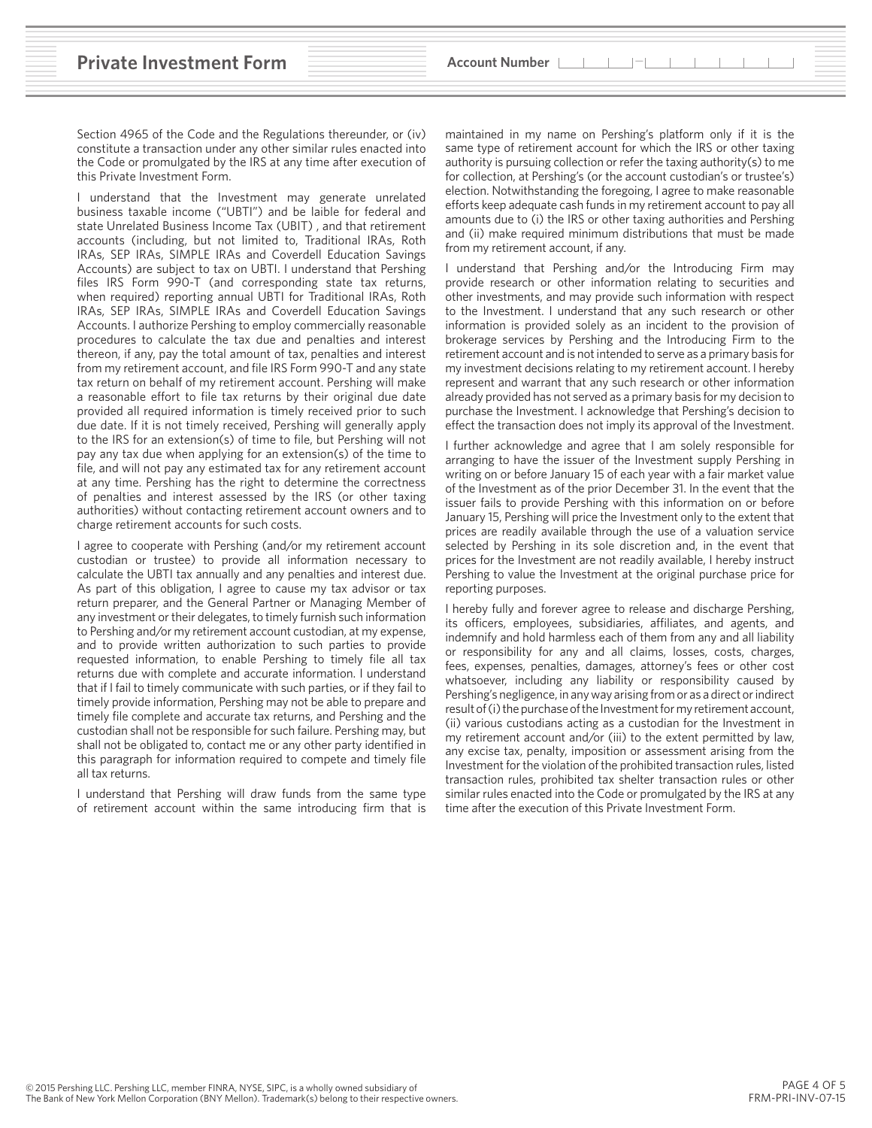Section 4965 of the Code and the Regulations thereunder, or (iv) constitute a transaction under any other similar rules enacted into the Code or promulgated by the IRS at any time after execution of this Private Investment Form.

I understand that the Investment may generate unrelated business taxable income ("UBTI") and be laible for federal and state Unrelated Business Income Tax (UBIT) , and that retirement accounts (including, but not limited to, Traditional IRAs, Roth IRAs, SEP IRAs, SIMPLE IRAs and Coverdell Education Savings Accounts) are subject to tax on UBTI. I understand that Pershing files IRS Form 990-T (and corresponding state tax returns, when required) reporting annual UBTI for Traditional IRAs, Roth IRAs, SEP IRAs, SIMPLE IRAs and Coverdell Education Savings Accounts. I authorize Pershing to employ commercially reasonable procedures to calculate the tax due and penalties and interest thereon, if any, pay the total amount of tax, penalties and interest from my retirement account, and file IRS Form 990-T and any state tax return on behalf of my retirement account. Pershing will make a reasonable effort to file tax returns by their original due date provided all required information is timely received prior to such due date. If it is not timely received, Pershing will generally apply to the IRS for an extension(s) of time to file, but Pershing will not pay any tax due when applying for an extension(s) of the time to file, and will not pay any estimated tax for any retirement account at any time. Pershing has the right to determine the correctness of penalties and interest assessed by the IRS (or other taxing authorities) without contacting retirement account owners and to charge retirement accounts for such costs.

I agree to cooperate with Pershing (and/or my retirement account custodian or trustee) to provide all information necessary to calculate the UBTI tax annually and any penalties and interest due. As part of this obligation, I agree to cause my tax advisor or tax return preparer, and the General Partner or Managing Member of any investment or their delegates, to timely furnish such information to Pershing and/or my retirement account custodian, at my expense, and to provide written authorization to such parties to provide requested information, to enable Pershing to timely file all tax returns due with complete and accurate information. I understand that if I fail to timely communicate with such parties, or if they fail to timely provide information, Pershing may not be able to prepare and timely file complete and accurate tax returns, and Pershing and the custodian shall not be responsible for such failure. Pershing may, but shall not be obligated to, contact me or any other party identified in this paragraph for information required to compete and timely file all tax returns.

I understand that Pershing will draw funds from the same type of retirement account within the same introducing firm that is maintained in my name on Pershing's platform only if it is the same type of retirement account for which the IRS or other taxing authority is pursuing collection or refer the taxing authority(s) to me for collection, at Pershing's (or the account custodian's or trustee's) election. Notwithstanding the foregoing, I agree to make reasonable efforts keep adequate cash funds in my retirement account to pay all amounts due to (i) the IRS or other taxing authorities and Pershing and (ii) make required minimum distributions that must be made from my retirement account, if any.

I understand that Pershing and/or the Introducing Firm may provide research or other information relating to securities and other investments, and may provide such information with respect to the Investment. I understand that any such research or other information is provided solely as an incident to the provision of brokerage services by Pershing and the Introducing Firm to the retirement account and is not intended to serve as a primary basis for my investment decisions relating to my retirement account. I hereby represent and warrant that any such research or other information already provided has not served as a primary basis for my decision to purchase the Investment. I acknowledge that Pershing's decision to effect the transaction does not imply its approval of the Investment.

I further acknowledge and agree that I am solely responsible for arranging to have the issuer of the Investment supply Pershing in writing on or before January 15 of each year with a fair market value of the Investment as of the prior December 31. In the event that the issuer fails to provide Pershing with this information on or before January 15, Pershing will price the Investment only to the extent that prices are readily available through the use of a valuation service selected by Pershing in its sole discretion and, in the event that prices for the Investment are not readily available, I hereby instruct Pershing to value the Investment at the original purchase price for reporting purposes.

I hereby fully and forever agree to release and discharge Pershing, its officers, employees, subsidiaries, affiliates, and agents, and indemnify and hold harmless each of them from any and all liability or responsibility for any and all claims, losses, costs, charges, fees, expenses, penalties, damages, attorney's fees or other cost whatsoever, including any liability or responsibility caused by Pershing's negligence, in any way arising from or as a direct or indirect result of (i) the purchase of the Investment for my retirement account, (ii) various custodians acting as a custodian for the Investment in my retirement account and/or (iii) to the extent permitted by law, any excise tax, penalty, imposition or assessment arising from the Investment for the violation of the prohibited transaction rules, listed transaction rules, prohibited tax shelter transaction rules or other similar rules enacted into the Code or promulgated by the IRS at any time after the execution of this Private Investment Form.